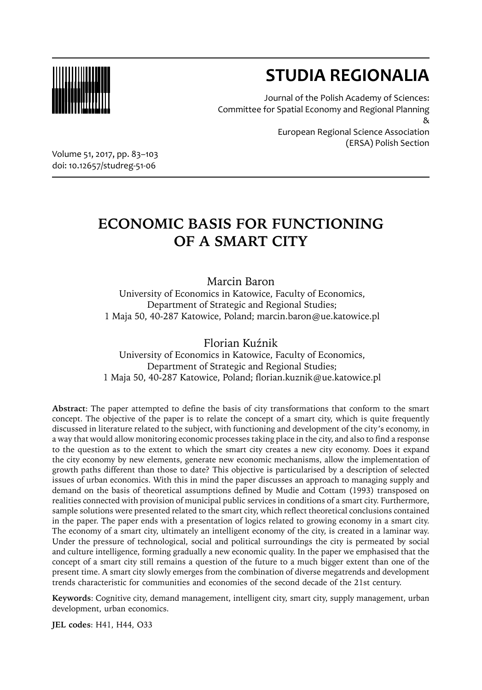

# **STUDIA REGIONALIA**

Journal of the Polish Academy of Sciences: Committee for Spatial Economy and Regional Planning &

European Regional Science Association (ERSA) Polish Section

Volume 51, 2017, pp. 83–103 doi: 10.12657/studreg-51-06

## **ECONOMIC BASIS FOR FUNCTIONING OF A SMART CITY**

Marcin Baron University of Economics in Katowice, Faculty of Economics, Department of Strategic and Regional Studies; 1 Maja 50, 40-287 Katowice, Poland; marcin.baron@ue.katowice.pl

Florian Kuźnik University of Economics in Katowice, Faculty of Economics, Department of Strategic and Regional Studies; 1 Maja 50, 40-287 Katowice, Poland; florian.kuznik@ue.katowice.pl

**Abstract**: The paper attempted to define the basis of city transformations that conform to the smart concept. The objective of the paper is to relate the concept of a smart city, which is quite frequently discussed in literature related to the subject, with functioning and development of the city's economy, in a way that would allow monitoring economic processes taking place in the city, and also to find a response to the question as to the extent to which the smart city creates a new city economy. Does it expand the city economy by new elements, generate new economic mechanisms, allow the implementation of growth paths different than those to date? This objective is particularised by a description of selected issues of urban economics. With this in mind the paper discusses an approach to managing supply and demand on the basis of theoretical assumptions defined by Mudie and Cottam (1993) transposed on realities connected with provision of municipal public services in conditions of a smart city. Furthermore, sample solutions were presented related to the smart city, which reflect theoretical conclusions contained in the paper. The paper ends with a presentation of logics related to growing economy in a smart city. The economy of a smart city, ultimately an intelligent economy of the city, is created in a laminar way. Under the pressure of technological, social and political surroundings the city is permeated by social and culture intelligence, forming gradually a new economic quality. In the paper we emphasised that the concept of a smart city still remains a question of the future to a much bigger extent than one of the present time. A smart city slowly emerges from the combination of diverse megatrends and development trends characteristic for communities and economies of the second decade of the 21st century.

**Keywords**: Cognitive city, demand management, intelligent city, smart city, supply management, urban development, urban economics.

**JEL codes**: H41, H44, O33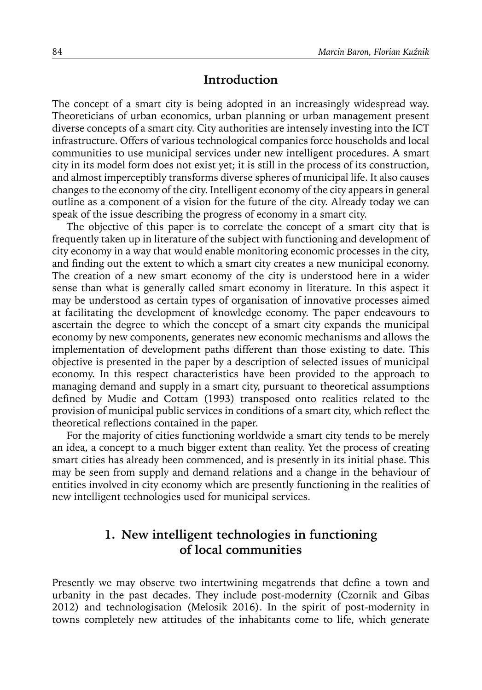### **Introduction**

The concept of a smart city is being adopted in an increasingly widespread way. Theoreticians of urban economics, urban planning or urban management present diverse concepts of a smart city. City authorities are intensely investing into the ICT infrastructure. Offers of various technological companies force households and local communities to use municipal services under new intelligent procedures. A smart city in its model form does not exist yet; it is still in the process of its construction, and almost imperceptibly transforms diverse spheres of municipal life. It also causes changes to the economy of the city. Intelligent economy of the city appears in general outline as a component of a vision for the future of the city. Already today we can speak of the issue describing the progress of economy in a smart city.

The objective of this paper is to correlate the concept of a smart city that is frequently taken up in literature of the subject with functioning and development of city economy in a way that would enable monitoring economic processes in the city, and finding out the extent to which a smart city creates a new municipal economy. The creation of a new smart economy of the city is understood here in a wider sense than what is generally called smart economy in literature. In this aspect it may be understood as certain types of organisation of innovative processes aimed at facilitating the development of knowledge economy. The paper endeavours to ascertain the degree to which the concept of a smart city expands the municipal economy by new components, generates new economic mechanisms and allows the implementation of development paths different than those existing to date. This objective is presented in the paper by a description of selected issues of municipal economy. In this respect characteristics have been provided to the approach to managing demand and supply in a smart city, pursuant to theoretical assumptions defined by Mudie and Cottam (1993) transposed onto realities related to the provision of municipal public services in conditions of a smart city, which reflect the theoretical reflections contained in the paper.

For the majority of cities functioning worldwide a smart city tends to be merely an idea, a concept to a much bigger extent than reality. Yet the process of creating smart cities has already been commenced, and is presently in its initial phase. This may be seen from supply and demand relations and a change in the behaviour of entities involved in city economy which are presently functioning in the realities of new intelligent technologies used for municipal services.

### **1. New intelligent technologies in functioning of local communities**

Presently we may observe two intertwining megatrends that define a town and urbanity in the past decades. They include post-modernity (Czornik and Gibas 2012) and technologisation (Melosik 2016). In the spirit of post-modernity in towns completely new attitudes of the inhabitants come to life, which generate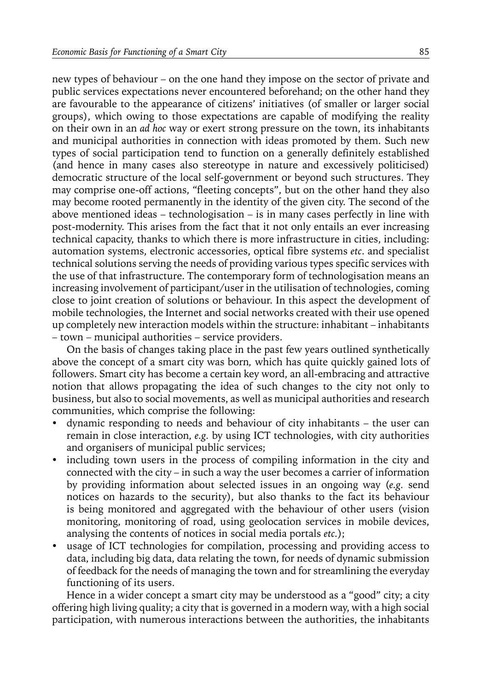new types of behaviour – on the one hand they impose on the sector of private and public services expectations never encountered beforehand; on the other hand they are favourable to the appearance of citizens' initiatives (of smaller or larger social groups), which owing to those expectations are capable of modifying the reality on their own in an *ad hoc* way or exert strong pressure on the town, its inhabitants and municipal authorities in connection with ideas promoted by them. Such new types of social participation tend to function on a generally definitely established (and hence in many cases also stereotype in nature and excessively politicised) democratic structure of the local self-government or beyond such structures. They may comprise one-off actions, "fleeting concepts", but on the other hand they also may become rooted permanently in the identity of the given city. The second of the above mentioned ideas – technologisation – is in many cases perfectly in line with post-modernity. This arises from the fact that it not only entails an ever increasing technical capacity, thanks to which there is more infrastructure in cities, including: automation systems, electronic accessories, optical fibre systems *etc*. and specialist technical solutions serving the needs of providing various types specific services with the use of that infrastructure. The contemporary form of technologisation means an increasing involvement of participant/user in the utilisation of technologies, coming close to joint creation of solutions or behaviour. In this aspect the development of mobile technologies, the Internet and social networks created with their use opened up completely new interaction models within the structure: inhabitant – inhabitants – town – municipal authorities – service providers.

On the basis of changes taking place in the past few years outlined synthetically above the concept of a smart city was born*,* which has quite quickly gained lots of followers. Smart city has become a certain key word, an all-embracing and attractive notion that allows propagating the idea of such changes to the city not only to business, but also to social movements, as well as municipal authorities and research communities, which comprise the following:

- dynamic responding to needs and behaviour of city inhabitants the user can remain in close interaction, *e.g.* by using ICT technologies, with city authorities and organisers of municipal public services;
- including town users in the process of compiling information in the city and connected with the city – in such a way the user becomes a carrier of information by providing information about selected issues in an ongoing way (*e.g.* send notices on hazards to the security), but also thanks to the fact its behaviour is being monitored and aggregated with the behaviour of other users (vision monitoring, monitoring of road, using geolocation services in mobile devices, analysing the contents of notices in social media portals *etc.*);
- usage of ICT technologies for compilation, processing and providing access to data, including big data, data relating the town, for needs of dynamic submission of feedback for the needs of managing the town and for streamlining the everyday functioning of its users.

Hence in a wider concept a smart city may be understood as a "good" city; a city offering high living quality; a city that is governed in a modern way, with a high social participation, with numerous interactions between the authorities, the inhabitants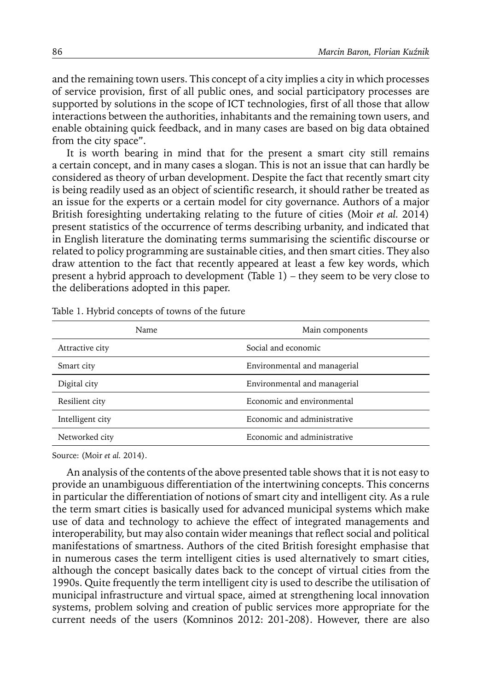and the remaining town users. This concept of a city implies a city in which processes of service provision, first of all public ones, and social participatory processes are supported by solutions in the scope of ICT technologies, first of all those that allow interactions between the authorities, inhabitants and the remaining town users, and enable obtaining quick feedback, and in many cases are based on big data obtained from the city space".

It is worth bearing in mind that for the present a smart city still remains a certain concept, and in many cases a slogan. This is not an issue that can hardly be considered as theory of urban development. Despite the fact that recently smart city is being readily used as an object of scientific research, it should rather be treated as an issue for the experts or a certain model for city governance. Authors of a major British foresighting undertaking relating to the future of cities (Moir *et al.* 2014) present statistics of the occurrence of terms describing urbanity, and indicated that in English literature the dominating terms summarising the scientific discourse or related to policy programming are sustainable cities, and then smart cities. They also draw attention to the fact that recently appeared at least a few key words, which present a hybrid approach to development (Table 1) – they seem to be very close to the deliberations adopted in this paper.

| Name             | Main components              |
|------------------|------------------------------|
| Attractive city  | Social and economic          |
| Smart city       | Environmental and managerial |
| Digital city     | Environmental and managerial |
| Resilient city   | Economic and environmental   |
| Intelligent city | Economic and administrative  |
| Networked city   | Economic and administrative  |
|                  |                              |

Table 1. Hybrid concepts of towns of the future

Source: (Moir *et al.* 2014).

An analysis of the contents of the above presented table shows that it is not easy to provide an unambiguous differentiation of the intertwining concepts. This concerns in particular the differentiation of notions of smart city and intelligent city. As a rule the term smart cities is basically used for advanced municipal systems which make use of data and technology to achieve the effect of integrated managements and interoperability, but may also contain wider meanings that reflect social and political manifestations of smartness. Authors of the cited British foresight emphasise that in numerous cases the term intelligent cities is used alternatively to smart cities, although the concept basically dates back to the concept of virtual cities from the 1990s. Quite frequently the term intelligent city is used to describe the utilisation of municipal infrastructure and virtual space, aimed at strengthening local innovation systems, problem solving and creation of public services more appropriate for the current needs of the users (Komninos 2012: 201-208). However, there are also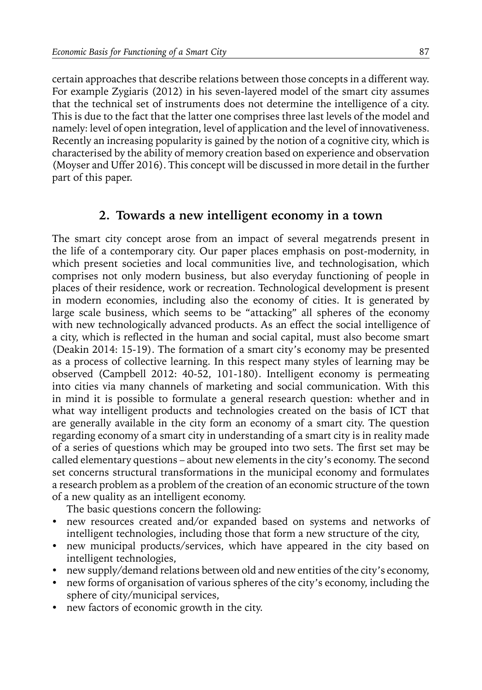certain approaches that describe relations between those concepts in a different way. For example Zygiaris (2012) in his seven-layered model of the smart city assumes that the technical set of instruments does not determine the intelligence of a city. This is due to the fact that the latter one comprises three last levels of the model and namely: level of open integration, level of application and the level of innovativeness. Recently an increasing popularity is gained by the notion of a cognitive city, which is characterised by the ability of memory creation based on experience and observation (Moyser and Uffer 2016). This concept will be discussed in more detail in the further part of this paper.

### **2. Towards a new intelligent economy in a town**

The smart city concept arose from an impact of several megatrends present in the life of a contemporary city. Our paper places emphasis on post-modernity, in which present societies and local communities live, and technologisation, which comprises not only modern business, but also everyday functioning of people in places of their residence, work or recreation. Technological development is present in modern economies, including also the economy of cities. It is generated by large scale business, which seems to be "attacking" all spheres of the economy with new technologically advanced products. As an effect the social intelligence of a city, which is reflected in the human and social capital, must also become smart (Deakin 2014: 15-19). The formation of a smart city's economy may be presented as a process of collective learning. In this respect many styles of learning may be observed (Campbell 2012: 40-52, 101-180). Intelligent economy is permeating into cities via many channels of marketing and social communication. With this in mind it is possible to formulate a general research question: whether and in what way intelligent products and technologies created on the basis of ICT that are generally available in the city form an economy of a smart city. The question regarding economy of a smart city in understanding of a smart city is in reality made of a series of questions which may be grouped into two sets. The first set may be called elementary questions – about new elements in the city's economy. The second set concerns structural transformations in the municipal economy and formulates a research problem as a problem of the creation of an economic structure of the town of a new quality as an intelligent economy.

The basic questions concern the following:

- new resources created and/or expanded based on systems and networks of intelligent technologies, including those that form a new structure of the city,
- new municipal products/services, which have appeared in the city based on intelligent technologies,
- new supply/demand relations between old and new entities of the city's economy,
- new forms of organisation of various spheres of the city's economy, including the sphere of city/municipal services,
- new factors of economic growth in the city.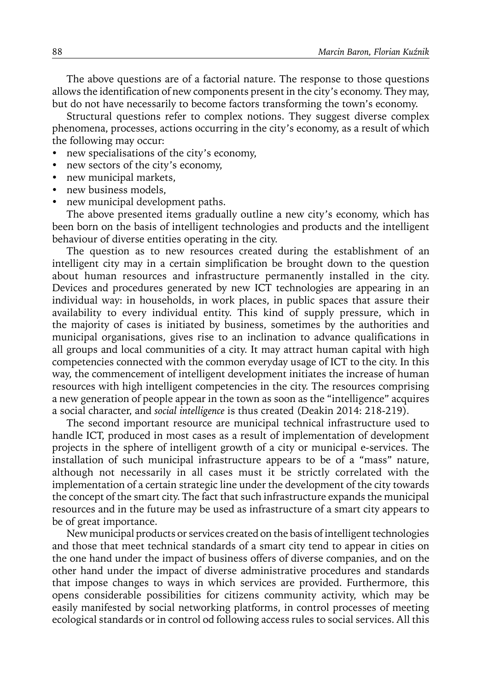The above questions are of a factorial nature. The response to those questions allows the identification of new components present in the city's economy. They may, but do not have necessarily to become factors transforming the town's economy.

Structural questions refer to complex notions. They suggest diverse complex phenomena, processes, actions occurring in the city's economy, as a result of which the following may occur:

- new specialisations of the city's economy,
- new sectors of the city's economy,
- new municipal markets,
- new business models,
- new municipal development paths.

The above presented items gradually outline a new city's economy, which has been born on the basis of intelligent technologies and products and the intelligent behaviour of diverse entities operating in the city.

The question as to new resources created during the establishment of an intelligent city may in a certain simplification be brought down to the question about human resources and infrastructure permanently installed in the city. Devices and procedures generated by new ICT technologies are appearing in an individual way: in households, in work places, in public spaces that assure their availability to every individual entity. This kind of supply pressure, which in the majority of cases is initiated by business, sometimes by the authorities and municipal organisations, gives rise to an inclination to advance qualifications in all groups and local communities of a city. It may attract human capital with high competencies connected with the common everyday usage of ICT to the city. In this way, the commencement of intelligent development initiates the increase of human resources with high intelligent competencies in the city. The resources comprising a new generation of people appear in the town as soon as the "intelligence" acquires a social character, and *social intelligence* is thus created (Deakin 2014: 218-219)*.*

The second important resource are municipal technical infrastructure used to handle ICT, produced in most cases as a result of implementation of development projects in the sphere of intelligent growth of a city or municipal e-services. The installation of such municipal infrastructure appears to be of a "mass" nature, although not necessarily in all cases must it be strictly correlated with the implementation of a certain strategic line under the development of the city towards the concept of the smart city. The fact that such infrastructure expands the municipal resources and in the future may be used as infrastructure of a smart city appears to be of great importance.

New municipal products or services created on the basis of intelligent technologies and those that meet technical standards of a smart city tend to appear in cities on the one hand under the impact of business offers of diverse companies, and on the other hand under the impact of diverse administrative procedures and standards that impose changes to ways in which services are provided. Furthermore, this opens considerable possibilities for citizens community activity, which may be easily manifested by social networking platforms, in control processes of meeting ecological standards or in control od following access rules to social services. All this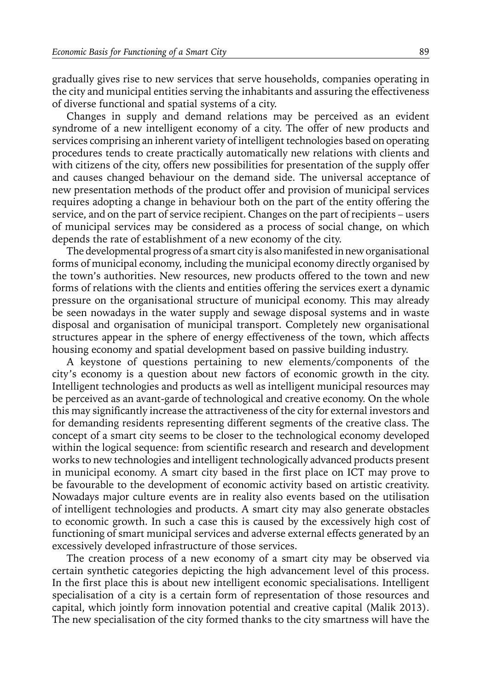gradually gives rise to new services that serve households, companies operating in the city and municipal entities serving the inhabitants and assuring the effectiveness of diverse functional and spatial systems of a city.

Changes in supply and demand relations may be perceived as an evident syndrome of a new intelligent economy of a city. The offer of new products and services comprising an inherent variety of intelligent technologies based on operating procedures tends to create practically automatically new relations with clients and with citizens of the city, offers new possibilities for presentation of the supply offer and causes changed behaviour on the demand side. The universal acceptance of new presentation methods of the product offer and provision of municipal services requires adopting a change in behaviour both on the part of the entity offering the service, and on the part of service recipient. Changes on the part of recipients – users of municipal services may be considered as a process of social change, on which depends the rate of establishment of a new economy of the city.

The developmental progress of a smart city is also manifested in new organisational forms of municipal economy, including the municipal economy directly organised by the town's authorities. New resources, new products offered to the town and new forms of relations with the clients and entities offering the services exert a dynamic pressure on the organisational structure of municipal economy. This may already be seen nowadays in the water supply and sewage disposal systems and in waste disposal and organisation of municipal transport. Completely new organisational structures appear in the sphere of energy effectiveness of the town, which affects housing economy and spatial development based on passive building industry.

A keystone of questions pertaining to new elements/components of the city's economy is a question about new factors of economic growth in the city. Intelligent technologies and products as well as intelligent municipal resources may be perceived as an avant-garde of technological and creative economy. On the whole this may significantly increase the attractiveness of the city for external investors and for demanding residents representing different segments of the creative class. The concept of a smart city seems to be closer to the technological economy developed within the logical sequence: from scientific research and research and development works to new technologies and intelligent technologically advanced products present in municipal economy. A smart city based in the first place on ICT may prove to be favourable to the development of economic activity based on artistic creativity. Nowadays major culture events are in reality also events based on the utilisation of intelligent technologies and products. A smart city may also generate obstacles to economic growth. In such a case this is caused by the excessively high cost of functioning of smart municipal services and adverse external effects generated by an excessively developed infrastructure of those services.

The creation process of a new economy of a smart city may be observed via certain synthetic categories depicting the high advancement level of this process. In the first place this is about new intelligent economic specialisations. Intelligent specialisation of a city is a certain form of representation of those resources and capital, which jointly form innovation potential and creative capital (Malik 2013). The new specialisation of the city formed thanks to the city smartness will have the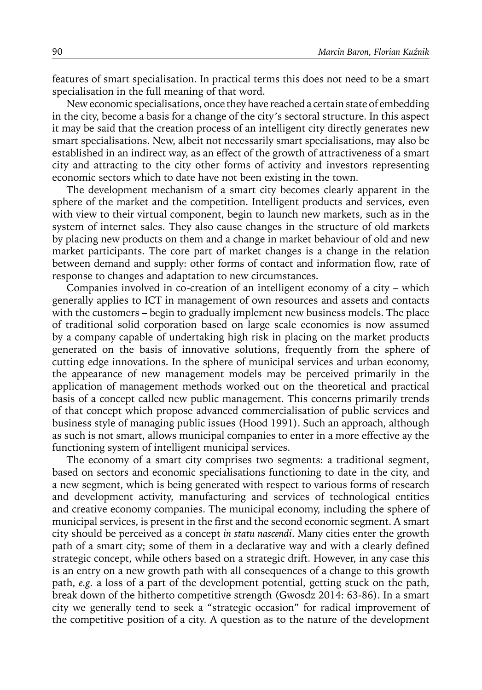features of smart specialisation. In practical terms this does not need to be a smart specialisation in the full meaning of that word.

New economic specialisations, once they have reached a certain state of embedding in the city, become a basis for a change of the city's sectoral structure. In this aspect it may be said that the creation process of an intelligent city directly generates new smart specialisations. New, albeit not necessarily smart specialisations, may also be established in an indirect way, as an effect of the growth of attractiveness of a smart city and attracting to the city other forms of activity and investors representing economic sectors which to date have not been existing in the town.

The development mechanism of a smart city becomes clearly apparent in the sphere of the market and the competition. Intelligent products and services, even with view to their virtual component, begin to launch new markets, such as in the system of internet sales. They also cause changes in the structure of old markets by placing new products on them and a change in market behaviour of old and new market participants. The core part of market changes is a change in the relation between demand and supply: other forms of contact and information flow, rate of response to changes and adaptation to new circumstances.

Companies involved in co-creation of an intelligent economy of a city – which generally applies to ICT in management of own resources and assets and contacts with the customers – begin to gradually implement new business models. The place of traditional solid corporation based on large scale economies is now assumed by a company capable of undertaking high risk in placing on the market products generated on the basis of innovative solutions, frequently from the sphere of cutting edge innovations. In the sphere of municipal services and urban economy, the appearance of new management models may be perceived primarily in the application of management methods worked out on the theoretical and practical basis of a concept called new public management. This concerns primarily trends of that concept which propose advanced commercialisation of public services and business style of managing public issues (Hood 1991). Such an approach, although as such is not smart, allows municipal companies to enter in a more effective ay the functioning system of intelligent municipal services.

The economy of a smart city comprises two segments: a traditional segment, based on sectors and economic specialisations functioning to date in the city, and a new segment, which is being generated with respect to various forms of research and development activity, manufacturing and services of technological entities and creative economy companies. The municipal economy, including the sphere of municipal services, is present in the first and the second economic segment. A smart city should be perceived as a concept *in statu nascendi*. Many cities enter the growth path of a smart city; some of them in a declarative way and with a clearly defined strategic concept, while others based on a strategic drift. However, in any case this is an entry on a new growth path with all consequences of a change to this growth path, *e.g.* a loss of a part of the development potential, getting stuck on the path, break down of the hitherto competitive strength (Gwosdz 2014: 63-86). In a smart city we generally tend to seek a "strategic occasion" for radical improvement of the competitive position of a city. A question as to the nature of the development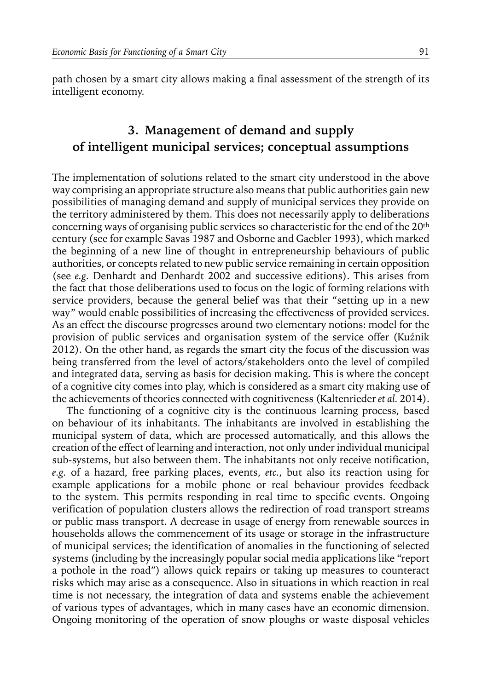path chosen by a smart city allows making a final assessment of the strength of its intelligent economy.

### **3. Management of demand and supply of intelligent municipal services; conceptual assumptions**

The implementation of solutions related to the smart city understood in the above way comprising an appropriate structure also means that public authorities gain new possibilities of managing demand and supply of municipal services they provide on the territory administered by them. This does not necessarily apply to deliberations concerning ways of organising public services so characteristic for the end of the 20th century (see for example Savas 1987 and Osborne and Gaebler 1993), which marked the beginning of a new line of thought in entrepreneurship behaviours of public authorities, or concepts related to new public service remaining in certain opposition (see *e.g.* Denhardt and Denhardt 2002 and successive editions). This arises from the fact that those deliberations used to focus on the logic of forming relations with service providers, because the general belief was that their "setting up in a new way" would enable possibilities of increasing the effectiveness of provided services. As an effect the discourse progresses around two elementary notions: model for the provision of public services and organisation system of the service offer (Kuźnik 2012). On the other hand, as regards the smart city the focus of the discussion was being transferred from the level of actors/stakeholders onto the level of compiled and integrated data, serving as basis for decision making. This is where the concept of a cognitive city comes into play, which is considered as a smart city making use of the achievements of theories connected with cognitiveness (Kaltenrieder *et al.* 2014).

The functioning of a cognitive city is the continuous learning process, based on behaviour of its inhabitants. The inhabitants are involved in establishing the municipal system of data, which are processed automatically, and this allows the creation of the effect of learning and interaction, not only under individual municipal sub-systems, but also between them. The inhabitants not only receive notification, *e.g.* of a hazard, free parking places, events, *etc.*, but also its reaction using for example applications for a mobile phone or real behaviour provides feedback to the system. This permits responding in real time to specific events. Ongoing verification of population clusters allows the redirection of road transport streams or public mass transport. A decrease in usage of energy from renewable sources in households allows the commencement of its usage or storage in the infrastructure of municipal services; the identification of anomalies in the functioning of selected systems (including by the increasingly popular social media applications like "report a pothole in the road") allows quick repairs or taking up measures to counteract risks which may arise as a consequence. Also in situations in which reaction in real time is not necessary, the integration of data and systems enable the achievement of various types of advantages, which in many cases have an economic dimension. Ongoing monitoring of the operation of snow ploughs or waste disposal vehicles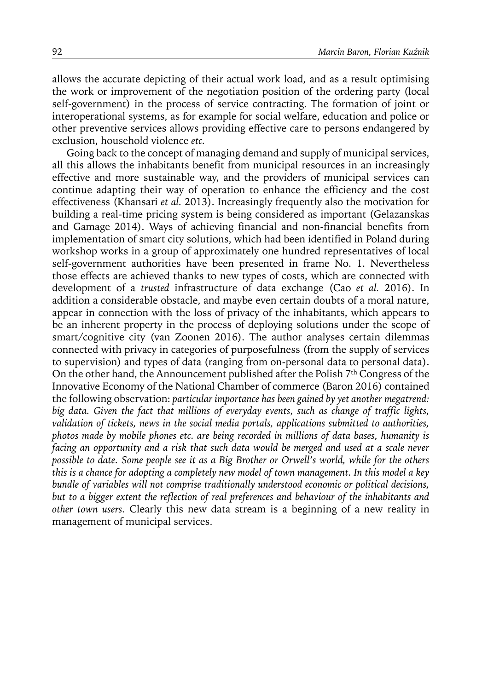allows the accurate depicting of their actual work load, and as a result optimising the work or improvement of the negotiation position of the ordering party (local self-government) in the process of service contracting. The formation of joint or interoperational systems, as for example for social welfare, education and police or other preventive services allows providing effective care to persons endangered by exclusion, household violence *etc.*

Going back to the concept of managing demand and supply of municipal services, all this allows the inhabitants benefit from municipal resources in an increasingly effective and more sustainable way, and the providers of municipal services can continue adapting their way of operation to enhance the efficiency and the cost effectiveness (Khansari *et al.* 2013). Increasingly frequently also the motivation for building a real-time pricing system is being considered as important (Gelazanskas and Gamage 2014). Ways of achieving financial and non-financial benefits from implementation of smart city solutions, which had been identified in Poland during workshop works in a group of approximately one hundred representatives of local self-government authorities have been presented in frame No. 1. Nevertheless those effects are achieved thanks to new types of costs, which are connected with development of a *trusted* infrastructure of data exchange (Cao *et al.* 2016). In addition a considerable obstacle, and maybe even certain doubts of a moral nature, appear in connection with the loss of privacy of the inhabitants, which appears to be an inherent property in the process of deploying solutions under the scope of smart/cognitive city (van Zoonen 2016). The author analyses certain dilemmas connected with privacy in categories of purposefulness (from the supply of services to supervision) and types of data (ranging from on-personal data to personal data). On the other hand, the Announcement published after the Polish 7<sup>th</sup> Congress of the Innovative Economy of the National Chamber of commerce (Baron 2016) contained the following observation: *particular importance has been gained by yet another megatrend: big data. Given the fact that millions of everyday events, such as change of traffic lights, validation of tickets, news in the social media portals, applications submitted to authorities, photos made by mobile phones etc. are being recorded in millions of data bases, humanity is facing an opportunity and a risk that such data would be merged and used at a scale never possible to date. Some people see it as a Big Brother or Orwell's world, while for the others this is a chance for adopting a completely new model of town management. In this model a key bundle of variables will not comprise traditionally understood economic or political decisions, but to a bigger extent the reflection of real preferences and behaviour of the inhabitants and other town users.* Clearly this new data stream is a beginning of a new reality in management of municipal services.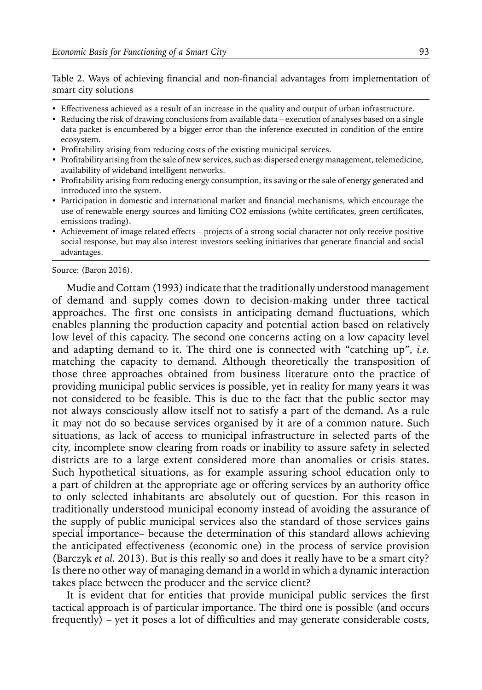Table 2. Ways of achieving financial and non-financial advantages from implementation of smart city solutions

- Effectiveness achieved as a result of an increase in the quality and output of urban infrastructure.
- Reducing the risk of drawing conclusions from available data execution of analyses based on a single data packet is encumbered by a bigger error than the inference executed in condition of the entire ecosystem.
- Profitability arising from reducing costs of the existing municipal services.
- y Profitability arising from the sale of new services, such as: dispersed energy management, telemedicine, availability of wideband intelligent networks.
- Profitability arising from reducing energy consumption, its saving or the sale of energy generated and introduced into the system.
- Participation in domestic and international market and financial mechanisms, which encourage the use of renewable energy sources and limiting CO2 emissions (white certificates, green certificates, emissions trading).
- Achievement of image related effects projects of a strong social character not only receive positive social response, but may also interest investors seeking initiatives that generate financial and social advantages.

Source: (Baron 2016).

Mudie and Cottam (1993) indicate that the traditionally understood management of demand and supply comes down to decision-making under three tactical approaches. The first one consists in anticipating demand fluctuations, which enables planning the production capacity and potential action based on relatively low level of this capacity. The second one concerns acting on a low capacity level and adapting demand to it. The third one is connected with "catching up", *i.e.* matching the capacity to demand. Although theoretically the transposition of those three approaches obtained from business literature onto the practice of providing municipal public services is possible, yet in reality for many years it was not considered to be feasible. This is due to the fact that the public sector may not always consciously allow itself not to satisfy a part of the demand. As a rule it may not do so because services organised by it are of a common nature. Such situations, as lack of access to municipal infrastructure in selected parts of the city, incomplete snow clearing from roads or inability to assure safety in selected districts are to a large extent considered more than anomalies or crisis states. Such hypothetical situations, as for example assuring school education only to a part of children at the appropriate age or offering services by an authority office to only selected inhabitants are absolutely out of question. For this reason in traditionally understood municipal economy instead of avoiding the assurance of the supply of public municipal services also the standard of those services gains special importance– because the determination of this standard allows achieving the anticipated effectiveness (economic one) in the process of service provision (Barczyk *et al.* 2013). But is this really so and does it really have to be a smart city? Is there no other way of managing demand in a world in which a dynamic interaction takes place between the producer and the service client?

It is evident that for entities that provide municipal public services the first tactical approach is of particular importance. The third one is possible (and occurs frequently) – yet it poses a lot of difficulties and may generate considerable costs,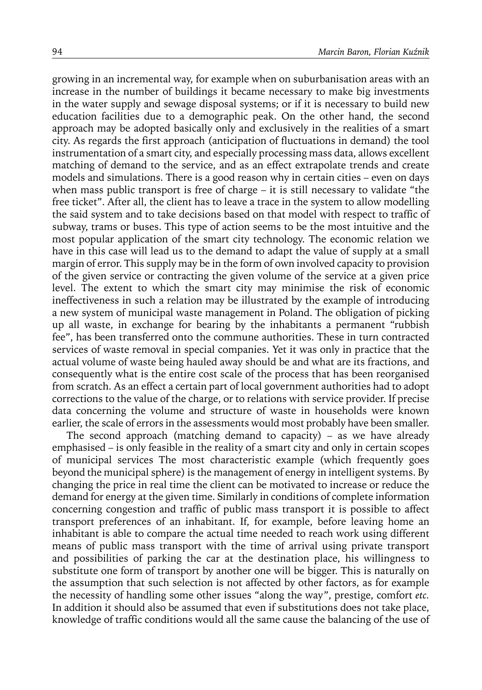growing in an incremental way, for example when on suburbanisation areas with an increase in the number of buildings it became necessary to make big investments in the water supply and sewage disposal systems; or if it is necessary to build new education facilities due to a demographic peak. On the other hand, the second approach may be adopted basically only and exclusively in the realities of a smart city. As regards the first approach (anticipation of fluctuations in demand) the tool instrumentation of a smart city, and especially processing mass data, allows excellent matching of demand to the service, and as an effect extrapolate trends and create models and simulations. There is a good reason why in certain cities – even on days when mass public transport is free of charge – it is still necessary to validate "the free ticket". After all, the client has to leave a trace in the system to allow modelling the said system and to take decisions based on that model with respect to traffic of subway, trams or buses. This type of action seems to be the most intuitive and the most popular application of the smart city technology. The economic relation we have in this case will lead us to the demand to adapt the value of supply at a small margin of error. This supply may be in the form of own involved capacity to provision of the given service or contracting the given volume of the service at a given price level. The extent to which the smart city may minimise the risk of economic ineffectiveness in such a relation may be illustrated by the example of introducing a new system of municipal waste management in Poland. The obligation of picking up all waste, in exchange for bearing by the inhabitants a permanent "rubbish fee", has been transferred onto the commune authorities. These in turn contracted services of waste removal in special companies. Yet it was only in practice that the actual volume of waste being hauled away should be and what are its fractions, and consequently what is the entire cost scale of the process that has been reorganised from scratch. As an effect a certain part of local government authorities had to adopt corrections to the value of the charge, or to relations with service provider. If precise data concerning the volume and structure of waste in households were known earlier, the scale of errors in the assessments would most probably have been smaller.

The second approach (matching demand to capacity) – as we have already emphasised – is only feasible in the reality of a smart city and only in certain scopes of municipal services The most characteristic example (which frequently goes beyond the municipal sphere) is the management of energy in intelligent systems. By changing the price in real time the client can be motivated to increase or reduce the demand for energy at the given time. Similarly in conditions of complete information concerning congestion and traffic of public mass transport it is possible to affect transport preferences of an inhabitant. If, for example, before leaving home an inhabitant is able to compare the actual time needed to reach work using different means of public mass transport with the time of arrival using private transport and possibilities of parking the car at the destination place, his willingness to substitute one form of transport by another one will be bigger. This is naturally on the assumption that such selection is not affected by other factors, as for example the necessity of handling some other issues "along the way", prestige, comfort *etc.* In addition it should also be assumed that even if substitutions does not take place, knowledge of traffic conditions would all the same cause the balancing of the use of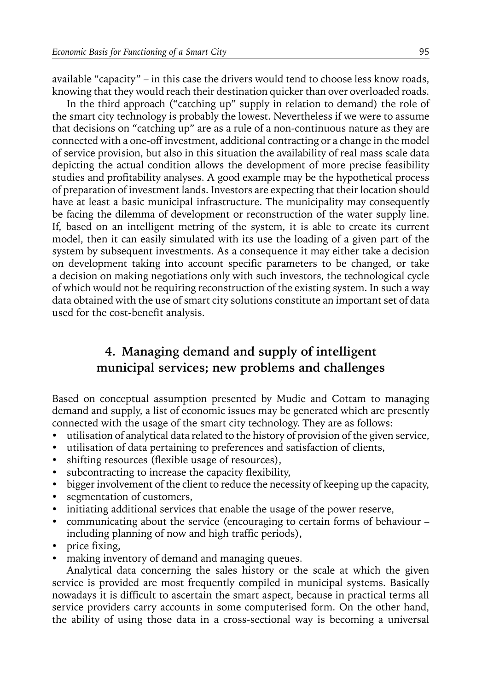available "capacity" – in this case the drivers would tend to choose less know roads, knowing that they would reach their destination quicker than over overloaded roads.

In the third approach ("catching up" supply in relation to demand) the role of the smart city technology is probably the lowest. Nevertheless if we were to assume that decisions on "catching up" are as a rule of a non-continuous nature as they are connected with a one-off investment, additional contracting or a change in the model of service provision, but also in this situation the availability of real mass scale data depicting the actual condition allows the development of more precise feasibility studies and profitability analyses. A good example may be the hypothetical process of preparation of investment lands. Investors are expecting that their location should have at least a basic municipal infrastructure. The municipality may consequently be facing the dilemma of development or reconstruction of the water supply line. If, based on an intelligent metring of the system, it is able to create its current model, then it can easily simulated with its use the loading of a given part of the system by subsequent investments. As a consequence it may either take a decision on development taking into account specific parameters to be changed, or take a decision on making negotiations only with such investors, the technological cycle of which would not be requiring reconstruction of the existing system. In such a way data obtained with the use of smart city solutions constitute an important set of data used for the cost-benefit analysis.

### **4. Managing demand and supply of intelligent municipal services; new problems and challenges**

Based on conceptual assumption presented by Mudie and Cottam to managing demand and supply, a list of economic issues may be generated which are presently connected with the usage of the smart city technology. They are as follows:

- utilisation of analytical data related to the history of provision of the given service,
- $\bullet$  utilisation of data pertaining to preferences and satisfaction of clients,
- shifting resources (flexible usage of resources),
- subcontracting to increase the capacity flexibility,
- bigger involvement of the client to reduce the necessity of keeping up the capacity,
- segmentation of customers,
- initiating additional services that enable the usage of the power reserve,
- communicating about the service (encouraging to certain forms of behaviour including planning of now and high traffic periods),
- $\cdot$  price fixing,
- making inventory of demand and managing queues.

Analytical data concerning the sales history or the scale at which the given service is provided are most frequently compiled in municipal systems. Basically nowadays it is difficult to ascertain the smart aspect, because in practical terms all service providers carry accounts in some computerised form. On the other hand, the ability of using those data in a cross-sectional way is becoming a universal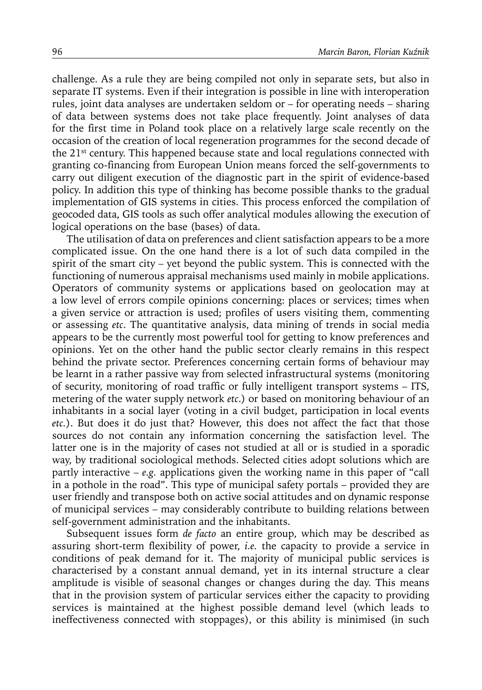challenge. As a rule they are being compiled not only in separate sets, but also in separate IT systems. Even if their integration is possible in line with interoperation rules, joint data analyses are undertaken seldom or – for operating needs – sharing of data between systems does not take place frequently. Joint analyses of data for the first time in Poland took place on a relatively large scale recently on the occasion of the creation of local regeneration programmes for the second decade of the 21st century. This happened because state and local regulations connected with granting co-financing from European Union means forced the self-governments to carry out diligent execution of the diagnostic part in the spirit of evidence-based policy. In addition this type of thinking has become possible thanks to the gradual implementation of GIS systems in cities. This process enforced the compilation of geocoded data, GIS tools as such offer analytical modules allowing the execution of logical operations on the base (bases) of data.

The utilisation of data on preferences and client satisfaction appears to be a more complicated issue. On the one hand there is a lot of such data compiled in the spirit of the smart city – yet beyond the public system. This is connected with the functioning of numerous appraisal mechanisms used mainly in mobile applications. Operators of community systems or applications based on geolocation may at a low level of errors compile opinions concerning: places or services; times when a given service or attraction is used; profiles of users visiting them, commenting or assessing *etc*. The quantitative analysis, data mining of trends in social media appears to be the currently most powerful tool for getting to know preferences and opinions. Yet on the other hand the public sector clearly remains in this respect behind the private sector. Preferences concerning certain forms of behaviour may be learnt in a rather passive way from selected infrastructural systems (monitoring of security, monitoring of road traffic or fully intelligent transport systems – ITS, metering of the water supply network *etc*.) or based on monitoring behaviour of an inhabitants in a social layer (voting in a civil budget, participation in local events *etc.*). But does it do just that? However, this does not affect the fact that those sources do not contain any information concerning the satisfaction level. The latter one is in the majority of cases not studied at all or is studied in a sporadic way, by traditional sociological methods. Selected cities adopt solutions which are partly interactive – *e.g.* applications given the working name in this paper of "call in a pothole in the road". This type of municipal safety portals – provided they are user friendly and transpose both on active social attitudes and on dynamic response of municipal services – may considerably contribute to building relations between self-government administration and the inhabitants.

Subsequent issues form *de facto* an entire group, which may be described as assuring short-term flexibility of power, *i.e.* the capacity to provide a service in conditions of peak demand for it. The majority of municipal public services is characterised by a constant annual demand, yet in its internal structure a clear amplitude is visible of seasonal changes or changes during the day. This means that in the provision system of particular services either the capacity to providing services is maintained at the highest possible demand level (which leads to ineffectiveness connected with stoppages), or this ability is minimised (in such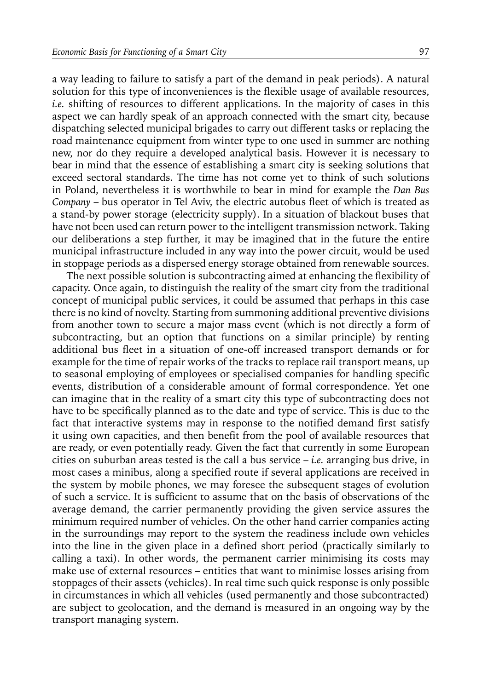a way leading to failure to satisfy a part of the demand in peak periods). A natural solution for this type of inconveniences is the flexible usage of available resources, *i.e.* shifting of resources to different applications. In the majority of cases in this aspect we can hardly speak of an approach connected with the smart city, because dispatching selected municipal brigades to carry out different tasks or replacing the road maintenance equipment from winter type to one used in summer are nothing new, nor do they require a developed analytical basis. However it is necessary to bear in mind that the essence of establishing a smart city is seeking solutions that exceed sectoral standards. The time has not come yet to think of such solutions in Poland, nevertheless it is worthwhile to bear in mind for example the *Dan Bus Company* – bus operator in Tel Aviv, the electric autobus fleet of which is treated as a stand-by power storage (electricity supply). In a situation of blackout buses that have not been used can return power to the intelligent transmission network. Taking our deliberations a step further, it may be imagined that in the future the entire municipal infrastructure included in any way into the power circuit, would be used in stoppage periods as a dispersed energy storage obtained from renewable sources.

The next possible solution is subcontracting aimed at enhancing the flexibility of capacity. Once again, to distinguish the reality of the smart city from the traditional concept of municipal public services, it could be assumed that perhaps in this case there is no kind of novelty. Starting from summoning additional preventive divisions from another town to secure a major mass event (which is not directly a form of subcontracting, but an option that functions on a similar principle) by renting additional bus fleet in a situation of one-off increased transport demands or for example for the time of repair works of the tracks to replace rail transport means, up to seasonal employing of employees or specialised companies for handling specific events, distribution of a considerable amount of formal correspondence. Yet one can imagine that in the reality of a smart city this type of subcontracting does not have to be specifically planned as to the date and type of service. This is due to the fact that interactive systems may in response to the notified demand first satisfy it using own capacities, and then benefit from the pool of available resources that are ready, or even potentially ready. Given the fact that currently in some European cities on suburban areas tested is the call a bus service – *i.e.* arranging bus drive, in most cases a minibus, along a specified route if several applications are received in the system by mobile phones, we may foresee the subsequent stages of evolution of such a service. It is sufficient to assume that on the basis of observations of the average demand, the carrier permanently providing the given service assures the minimum required number of vehicles. On the other hand carrier companies acting in the surroundings may report to the system the readiness include own vehicles into the line in the given place in a defined short period (practically similarly to calling a taxi). In other words, the permanent carrier minimising its costs may make use of external resources – entities that want to minimise losses arising from stoppages of their assets (vehicles). In real time such quick response is only possible in circumstances in which all vehicles (used permanently and those subcontracted) are subject to geolocation, and the demand is measured in an ongoing way by the transport managing system.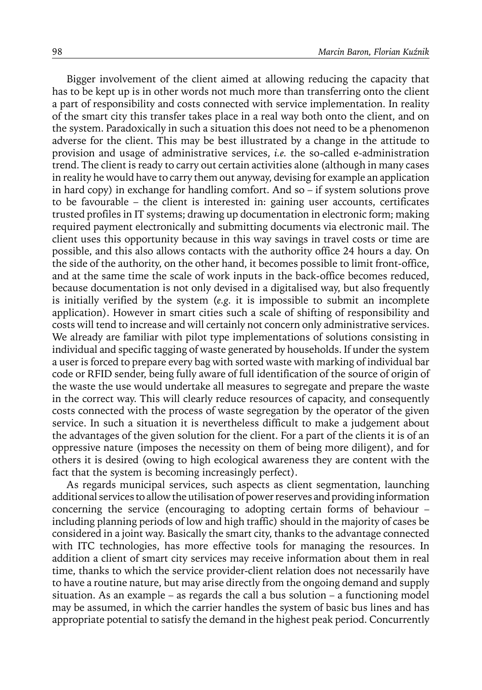Bigger involvement of the client aimed at allowing reducing the capacity that has to be kept up is in other words not much more than transferring onto the client a part of responsibility and costs connected with service implementation. In reality of the smart city this transfer takes place in a real way both onto the client, and on the system. Paradoxically in such a situation this does not need to be a phenomenon adverse for the client. This may be best illustrated by a change in the attitude to provision and usage of administrative services, *i.e.* the so-called e-administration trend. The client is ready to carry out certain activities alone (although in many cases in reality he would have to carry them out anyway, devising for example an application in hard copy) in exchange for handling comfort. And so – if system solutions prove to be favourable – the client is interested in: gaining user accounts, certificates trusted profiles in IT systems; drawing up documentation in electronic form; making required payment electronically and submitting documents via electronic mail. The client uses this opportunity because in this way savings in travel costs or time are possible, and this also allows contacts with the authority office 24 hours a day. On the side of the authority, on the other hand, it becomes possible to limit front-office, and at the same time the scale of work inputs in the back-office becomes reduced, because documentation is not only devised in a digitalised way, but also frequently is initially verified by the system (*e.g.* it is impossible to submit an incomplete application). However in smart cities such a scale of shifting of responsibility and costs will tend to increase and will certainly not concern only administrative services. We already are familiar with pilot type implementations of solutions consisting in individual and specific tagging of waste generated by households. If under the system a user is forced to prepare every bag with sorted waste with marking of individual bar code or RFID sender, being fully aware of full identification of the source of origin of the waste the use would undertake all measures to segregate and prepare the waste in the correct way. This will clearly reduce resources of capacity, and consequently costs connected with the process of waste segregation by the operator of the given service. In such a situation it is nevertheless difficult to make a judgement about the advantages of the given solution for the client. For a part of the clients it is of an oppressive nature (imposes the necessity on them of being more diligent), and for others it is desired (owing to high ecological awareness they are content with the fact that the system is becoming increasingly perfect).

As regards municipal services, such aspects as client segmentation, launching additional services to allow the utilisation of power reserves and providing information concerning the service (encouraging to adopting certain forms of behaviour – including planning periods of low and high traffic) should in the majority of cases be considered in a joint way. Basically the smart city, thanks to the advantage connected with ITC technologies, has more effective tools for managing the resources. In addition a client of smart city services may receive information about them in real time, thanks to which the service provider-client relation does not necessarily have to have a routine nature, but may arise directly from the ongoing demand and supply situation. As an example – as regards the call a bus solution – a functioning model may be assumed, in which the carrier handles the system of basic bus lines and has appropriate potential to satisfy the demand in the highest peak period. Concurrently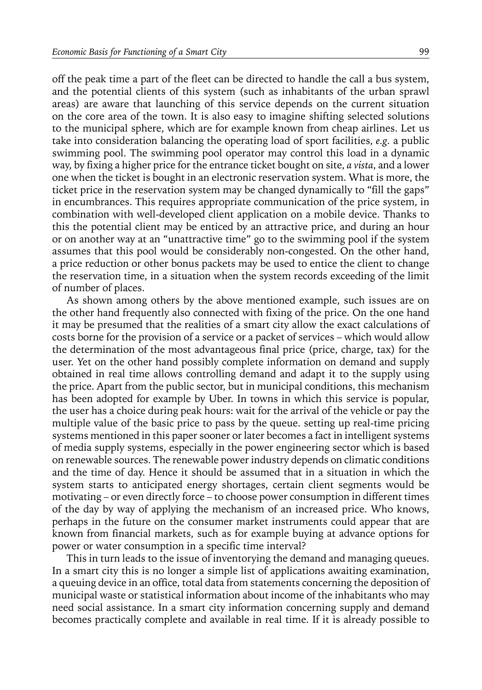off the peak time a part of the fleet can be directed to handle the call a bus system, and the potential clients of this system (such as inhabitants of the urban sprawl areas) are aware that launching of this service depends on the current situation on the core area of the town. It is also easy to imagine shifting selected solutions to the municipal sphere, which are for example known from cheap airlines. Let us take into consideration balancing the operating load of sport facilities, *e.g.* a public swimming pool. The swimming pool operator may control this load in a dynamic way, by fixing a higher price for the entrance ticket bought on site, *a vista*, and a lower one when the ticket is bought in an electronic reservation system. What is more, the ticket price in the reservation system may be changed dynamically to "fill the gaps" in encumbrances. This requires appropriate communication of the price system, in combination with well-developed client application on a mobile device. Thanks to this the potential client may be enticed by an attractive price, and during an hour or on another way at an "unattractive time" go to the swimming pool if the system assumes that this pool would be considerably non-congested. On the other hand, a price reduction or other bonus packets may be used to entice the client to change the reservation time, in a situation when the system records exceeding of the limit of number of places.

As shown among others by the above mentioned example, such issues are on the other hand frequently also connected with fixing of the price. On the one hand it may be presumed that the realities of a smart city allow the exact calculations of costs borne for the provision of a service or a packet of services – which would allow the determination of the most advantageous final price (price, charge, tax) for the user. Yet on the other hand possibly complete information on demand and supply obtained in real time allows controlling demand and adapt it to the supply using the price. Apart from the public sector, but in municipal conditions, this mechanism has been adopted for example by Uber. In towns in which this service is popular, the user has a choice during peak hours: wait for the arrival of the vehicle or pay the multiple value of the basic price to pass by the queue. setting up real-time pricing systems mentioned in this paper sooner or later becomes a fact in intelligent systems of media supply systems, especially in the power engineering sector which is based on renewable sources. The renewable power industry depends on climatic conditions and the time of day. Hence it should be assumed that in a situation in which the system starts to anticipated energy shortages, certain client segments would be motivating – or even directly force – to choose power consumption in different times of the day by way of applying the mechanism of an increased price. Who knows, perhaps in the future on the consumer market instruments could appear that are known from financial markets, such as for example buying at advance options for power or water consumption in a specific time interval?

This in turn leads to the issue of inventorying the demand and managing queues. In a smart city this is no longer a simple list of applications awaiting examination, a queuing device in an office, total data from statements concerning the deposition of municipal waste or statistical information about income of the inhabitants who may need social assistance. In a smart city information concerning supply and demand becomes practically complete and available in real time. If it is already possible to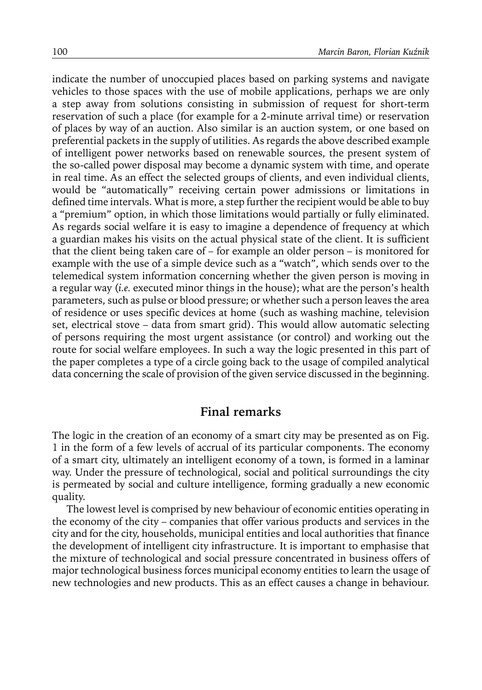indicate the number of unoccupied places based on parking systems and navigate vehicles to those spaces with the use of mobile applications, perhaps we are only a step away from solutions consisting in submission of request for short-term reservation of such a place (for example for a 2-minute arrival time) or reservation of places by way of an auction. Also similar is an auction system, or one based on preferential packets in the supply of utilities. As regards the above described example of intelligent power networks based on renewable sources, the present system of the so-called power disposal may become a dynamic system with time, and operate in real time. As an effect the selected groups of clients, and even individual clients, would be "automatically" receiving certain power admissions or limitations in defined time intervals. What is more, a step further the recipient would be able to buy a "premium" option, in which those limitations would partially or fully eliminated. As regards social welfare it is easy to imagine a dependence of frequency at which a guardian makes his visits on the actual physical state of the client. It is sufficient that the client being taken care of – for example an older person – is monitored for example with the use of a simple device such as a "watch", which sends over to the telemedical system information concerning whether the given person is moving in a regular way (*i.e.* executed minor things in the house); what are the person's health parameters, such as pulse or blood pressure; or whether such a person leaves the area of residence or uses specific devices at home (such as washing machine, television set, electrical stove – data from smart grid). This would allow automatic selecting of persons requiring the most urgent assistance (or control) and working out the route for social welfare employees. In such a way the logic presented in this part of the paper completes a type of a circle going back to the usage of compiled analytical data concerning the scale of provision of the given service discussed in the beginning.

#### **Final remarks**

The logic in the creation of an economy of a smart city may be presented as on Fig. 1 in the form of a few levels of accrual of its particular components. The economy of a smart city, ultimately an intelligent economy of a town, is formed in a laminar way. Under the pressure of technological, social and political surroundings the city is permeated by social and culture intelligence, forming gradually a new economic quality.

The lowest level is comprised by new behaviour of economic entities operating in the economy of the city – companies that offer various products and services in the city and for the city, households, municipal entities and local authorities that finance the development of intelligent city infrastructure. It is important to emphasise that the mixture of technological and social pressure concentrated in business offers of major technological business forces municipal economy entities to learn the usage of new technologies and new products. This as an effect causes a change in behaviour.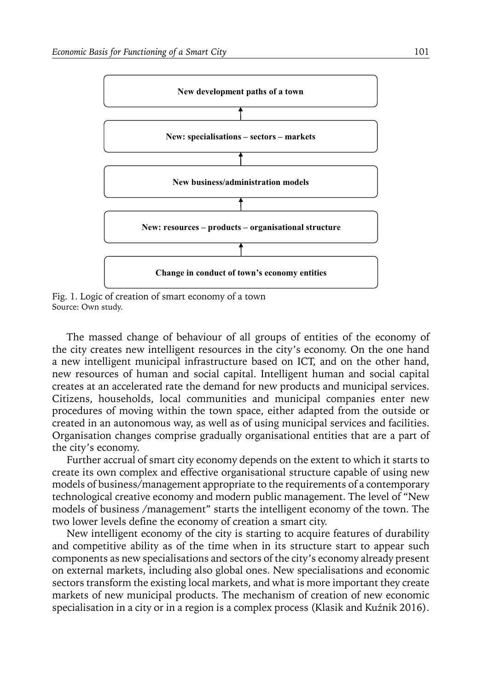

Fig. 1. Logic of creation of smart economy of a town Source: Own study.

The massed change of behaviour of all groups of entities of the economy of the city creates new intelligent resources in the city's economy. On the one hand a new intelligent municipal infrastructure based on ICT, and on the other hand, new resources of human and social capital. Intelligent human and social capital creates at an accelerated rate the demand for new products and municipal services. Citizens, households, local communities and municipal companies enter new procedures of moving within the town space, either adapted from the outside or created in an autonomous way, as well as of using municipal services and facilities. Organisation changes comprise gradually organisational entities that are a part of the city's economy.

Further accrual of smart city economy depends on the extent to which it starts to create its own complex and effective organisational structure capable of using new models of business/management appropriate to the requirements of a contemporary technological creative economy and modern public management. The level of "New models of business /management" starts the intelligent economy of the town. The two lower levels define the economy of creation a smart city.

New intelligent economy of the city is starting to acquire features of durability and competitive ability as of the time when in its structure start to appear such components as new specialisations and sectors of the city's economy already present on external markets, including also global ones. New specialisations and economic sectors transform the existing local markets, and what is more important they create markets of new municipal products. The mechanism of creation of new economic specialisation in a city or in a region is a complex process (Klasik and Kuźnik 2016).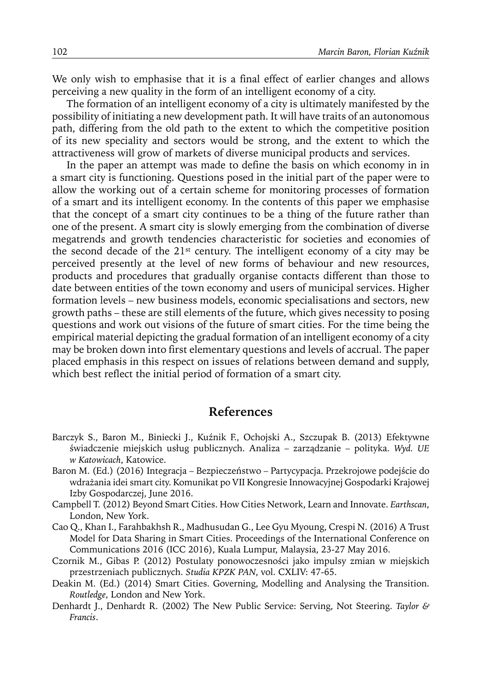We only wish to emphasise that it is a final effect of earlier changes and allows perceiving a new quality in the form of an intelligent economy of a city.

The formation of an intelligent economy of a city is ultimately manifested by the possibility of initiating a new development path. It will have traits of an autonomous path, differing from the old path to the extent to which the competitive position of its new speciality and sectors would be strong, and the extent to which the attractiveness will grow of markets of diverse municipal products and services.

In the paper an attempt was made to define the basis on which economy in in a smart city is functioning. Questions posed in the initial part of the paper were to allow the working out of a certain scheme for monitoring processes of formation of a smart and its intelligent economy. In the contents of this paper we emphasise that the concept of a smart city continues to be a thing of the future rather than one of the present. A smart city is slowly emerging from the combination of diverse megatrends and growth tendencies characteristic for societies and economies of the second decade of the 21st century. The intelligent economy of a city may be perceived presently at the level of new forms of behaviour and new resources, products and procedures that gradually organise contacts different than those to date between entities of the town economy and users of municipal services. Higher formation levels – new business models, economic specialisations and sectors, new growth paths – these are still elements of the future, which gives necessity to posing questions and work out visions of the future of smart cities. For the time being the empirical material depicting the gradual formation of an intelligent economy of a city may be broken down into first elementary questions and levels of accrual. The paper placed emphasis in this respect on issues of relations between demand and supply, which best reflect the initial period of formation of a smart city.

#### **References**

- Barczyk S., Baron M., Biniecki J., Kuźnik F., Ochojski A., Szczupak B. (2013) Efektywne świadczenie miejskich usług publicznych. Analiza – zarządzanie – polityka. *Wyd. UE w Katowicach*, Katowice.
- Baron M. (Ed.) (2016) Integracja Bezpieczeństwo Partycypacja. Przekrojowe podejście do wdrażania idei smart city. Komunikat po VII Kongresie Innowacyjnej Gospodarki Krajowej Izby Gospodarczej, June 2016.
- Campbell T. (2012) Beyond Smart Cities. How Cities Network, Learn and Innovate. *Earthscan*, London, New York.
- Cao Q., Khan I., Farahbakhsh R., Madhusudan G., Lee Gyu Myoung, Crespi N. (2016) A Trust Model for Data Sharing in Smart Cities. Proceedings of the International Conference on Communications 2016 (ICC 2016), Kuala Lumpur, Malaysia, 23-27 May 2016.
- Czornik M., Gibas P. (2012) Postulaty ponowoczesności jako impulsy zmian w miejskich przestrzeniach publicznych. *Studia KPZK PAN*, vol. CXLIV: 47-65.
- Deakin M. (Ed.) (2014) Smart Cities. Governing, Modelling and Analysing the Transition. *Routledge*, London and New York.
- Denhardt J., Denhardt R. (2002) The New Public Service: Serving, Not Steering. *Taylor & Francis*.